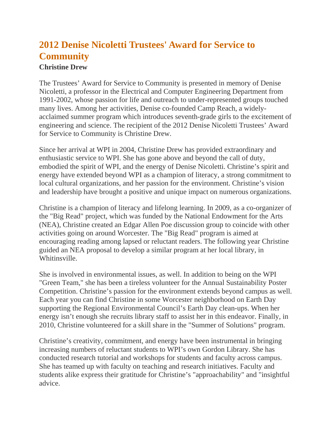## **2012 Denise Nicoletti Trustees' Award for Service to Community**

## **Christine Drew**

The Trustees' Award for Service to Community is presented in memory of Denise Nicoletti, a professor in the Electrical and Computer Engineering Department from 1991-2002, whose passion for life and outreach to under-represented groups touched many lives. Among her activities, Denise co-founded Camp Reach, a widelyacclaimed summer program which introduces seventh-grade girls to the excitement of engineering and science. The recipient of the 2012 Denise Nicoletti Trustees' Award for Service to Community is Christine Drew.

Since her arrival at WPI in 2004, Christine Drew has provided extraordinary and enthusiastic service to WPI. She has gone above and beyond the call of duty, embodied the spirit of WPI, and the energy of Denise Nicoletti. Christine's spirit and energy have extended beyond WPI as a champion of literacy, a strong commitment to local cultural organizations, and her passion for the environment. Christine's vision and leadership have brought a positive and unique impact on numerous organizations.

Christine is a champion of literacy and lifelong learning. In 2009, as a co-organizer of the "Big Read" project, which was funded by the National Endowment for the Arts (NEA), Christine created an Edgar Allen Poe discussion group to coincide with other activities going on around Worcester. The "Big Read" program is aimed at encouraging reading among lapsed or reluctant readers. The following year Christine guided an NEA proposal to develop a similar program at her local library, in Whitinsville.

She is involved in environmental issues, as well. In addition to being on the WPI "Green Team," she has been a tireless volunteer for the Annual Sustainability Poster Competition. Christine's passion for the environment extends beyond campus as well. Each year you can find Christine in some Worcester neighborhood on Earth Day supporting the Regional Environmental Council's Earth Day clean-ups. When her energy isn't enough she recruits library staff to assist her in this endeavor. Finally, in 2010, Christine volunteered for a skill share in the "Summer of Solutions" program.

Christine's creativity, commitment, and energy have been instrumental in bringing increasing numbers of reluctant students to WPI's own Gordon Library. She has conducted research tutorial and workshops for students and faculty across campus. She has teamed up with faculty on teaching and research initiatives. Faculty and students alike express their gratitude for Christine's "approachability" and "insightful advice.